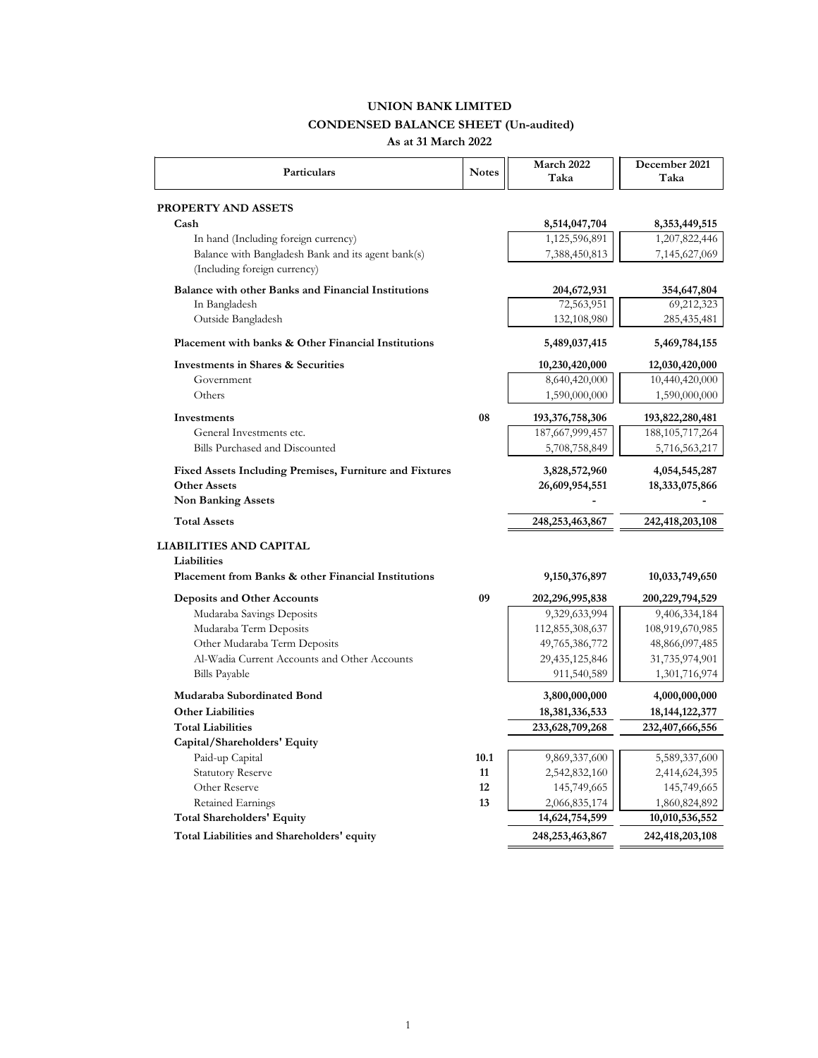## **UNION BANK LIMITED**

# **CONDENSED BALANCE SHEET (Un-audited)**

# **As at 31 March 2022**

| Particulars                                             | <b>Notes</b> | March 2022<br>Taka | December 2021<br>Taka |
|---------------------------------------------------------|--------------|--------------------|-----------------------|
| <b>PROPERTY AND ASSETS</b>                              |              |                    |                       |
| Cash                                                    |              | 8,514,047,704      | 8, 353, 449, 515      |
| In hand (Including foreign currency)                    |              | 1,125,596,891      | 1,207,822,446         |
| Balance with Bangladesh Bank and its agent bank(s)      |              | 7,388,450,813      | 7,145,627,069         |
| (Including foreign currency)                            |              |                    |                       |
| Balance with other Banks and Financial Institutions     |              | 204,672,931        | 354,647,804           |
| In Bangladesh                                           |              | 72,563,951         | 69,212,323            |
| Outside Bangladesh                                      |              | 132,108,980        | 285,435,481           |
| Placement with banks & Other Financial Institutions     |              | 5,489,037,415      | 5,469,784,155         |
| Investments in Shares & Securities                      |              | 10,230,420,000     | 12,030,420,000        |
| Government                                              |              | 8,640,420,000      | 10,440,420,000        |
| Others                                                  |              | 1,590,000,000      | 1,590,000,000         |
| Investments                                             | 08           | 193,376,758,306    | 193,822,280,481       |
| General Investments etc.                                |              | 187,667,999,457    | 188, 105, 717, 264    |
| Bills Purchased and Discounted                          |              | 5,708,758,849      | 5,716,563,217         |
| Fixed Assets Including Premises, Furniture and Fixtures |              | 3,828,572,960      | 4,054,545,287         |
| <b>Other Assets</b>                                     |              | 26,609,954,551     | 18,333,075,866        |
| <b>Non Banking Assets</b>                               |              |                    |                       |
| <b>Total Assets</b>                                     |              | 248, 253, 463, 867 | 242,418,203,108       |
| <b>LIABILITIES AND CAPITAL</b>                          |              |                    |                       |
| Liabilities                                             |              |                    |                       |
| Placement from Banks & other Financial Institutions     |              | 9, 150, 376, 897   | 10,033,749,650        |
| <b>Deposits and Other Accounts</b>                      | 09           | 202,296,995,838    | 200,229,794,529       |
| Mudaraba Savings Deposits                               |              | 9,329,633,994      | 9,406,334,184         |
| Mudaraba Term Deposits                                  |              | 112,855,308,637    | 108,919,670,985       |
| Other Mudaraba Term Deposits                            |              | 49,765,386,772     | 48,866,097,485        |
| Al-Wadia Current Accounts and Other Accounts            |              | 29,435,125,846     | 31,735,974,901        |
| <b>Bills Payable</b>                                    |              | 911,540,589        | 1,301,716,974         |
| Mudaraba Subordinated Bond                              |              | 3,800,000,000      | 4,000,000,000         |
| <b>Other Liabilities</b>                                |              | 18, 381, 336, 533  | 18, 144, 122, 377     |
| <b>Total Liabilities</b>                                |              | 233,628,709,268    | 232,407,666,556       |
| Capital/Shareholders' Equity                            |              |                    |                       |
| Paid-up Capital                                         | 10.1         | 9,869,337,600      | 5,589,337,600         |
| <b>Statutory Reserve</b>                                | 11           | 2,542,832,160      | 2,414,624,395         |
| Other Reserve                                           | 12           | 145,749,665        | 145,749,665           |
| <b>Retained Earnings</b>                                | 13           | 2,066,835,174      | 1,860,824,892         |
| <b>Total Shareholders' Equity</b>                       |              | 14,624,754,599     | 10,010,536,552        |
| Total Liabilities and Shareholders' equity              |              | 248, 253, 463, 867 | 242,418,203,108       |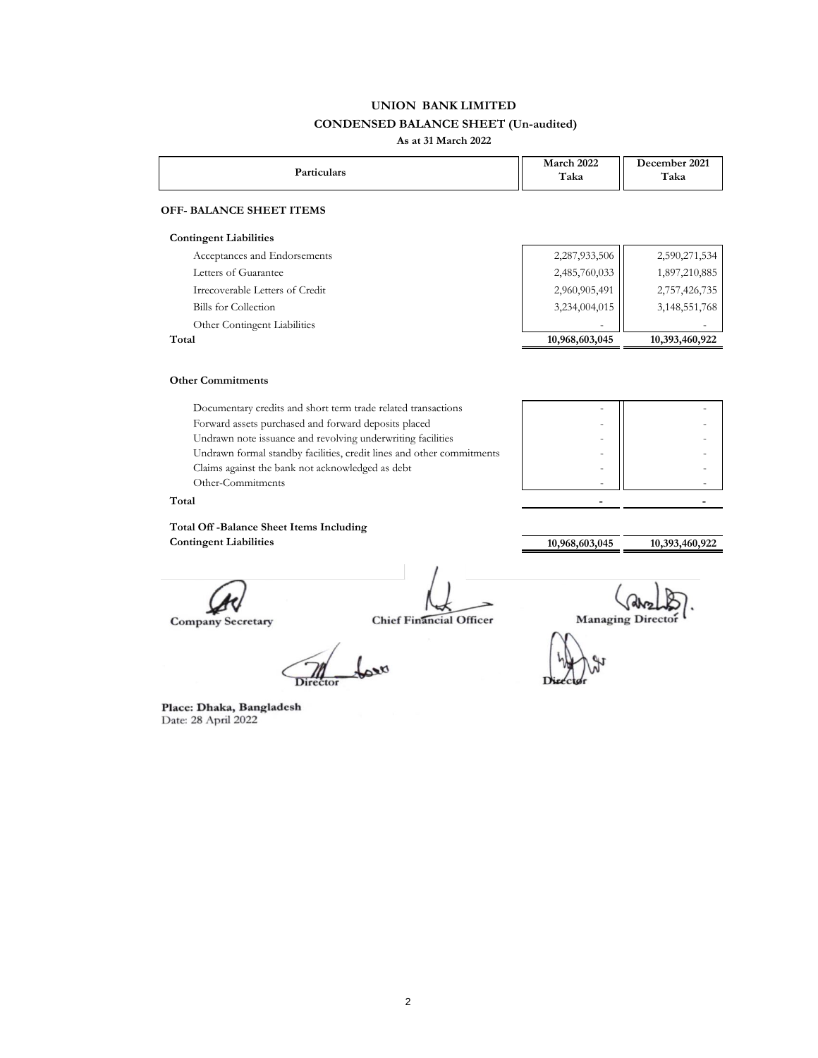# **UNION BANK LIMITED CONDENSED BALANCE SHEET (Un-audited)**

**As at 31 March 2022**

|  | <b>Particulars</b> | March 2022<br>Taka | December 2021<br>Taka |
|--|--------------------|--------------------|-----------------------|
|--|--------------------|--------------------|-----------------------|

#### **OFF- BALANCE SHEET ITEMS**

#### **Contingent Liabilities**

| Total                           | 10,968,603,045           | 10,393,460,922   |
|---------------------------------|--------------------------|------------------|
| Other Contingent Liabilities    | $\overline{\phantom{0}}$ | -                |
| Bills for Collection            | 3,234,004,015            | 3, 148, 551, 768 |
| Irrecoverable Letters of Credit | 2,960,905,491            | 2,757,426,735    |
| Letters of Guarantee            | 2,485,760,033            | 1,897,210,885    |
| Acceptances and Endorsements    | 2,287,933,506            | 2,590,271,534    |
|                                 |                          |                  |

#### **Other Commitments**

**Total** 

Documentary credits and short term trade related transactions Forward assets purchased and forward deposits placed Undrawn note issuance and revolving underwriting facilities Undrawn formal standby facilities, credit lines and other commitments Claims against the bank not acknowledged as debt Other-Commitments

 **10,968,603,045 10,393,460,922**

**Contingent Liabilities Total Off -Balance Sheet Items Including** 

**Company Secretary Chief Financial Officer Managing Directors** 

 **Director Director**

**Place: Dhaka, Bangladesh** Date: 28 April 2022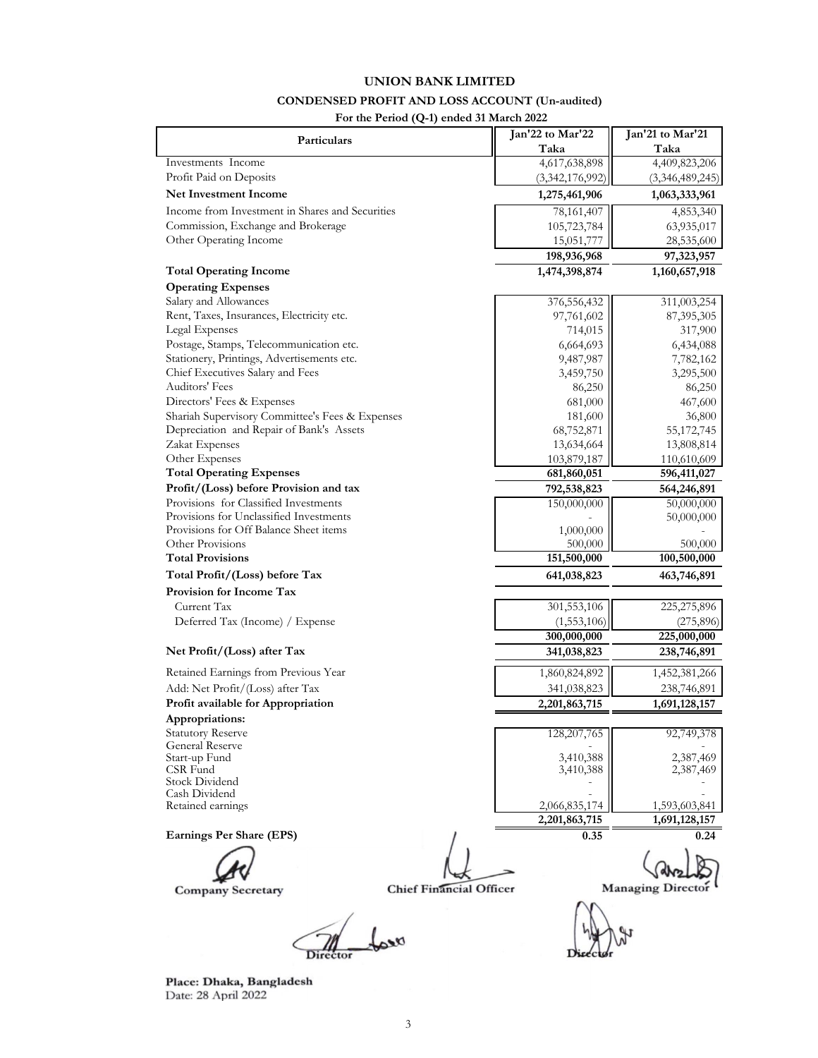# **UNION BANK LIMITED CONDENSED PROFIT AND LOSS ACCOUNT (Un-audited)**

#### **For the Period (Q-1) ended 31 March 2022**

| Particulars                                                | Jan'22 to Mar'22 | Jan'21 to Mar'21         |
|------------------------------------------------------------|------------------|--------------------------|
|                                                            | Taka             | Taka                     |
| Investments Income                                         | 4,617,638,898    | 4,409,823,206            |
| Profit Paid on Deposits                                    | (3,342,176,992)  | (3,346,489,245)          |
| <b>Net Investment Income</b>                               | 1,275,461,906    | 1,063,333,961            |
| Income from Investment in Shares and Securities            | 78,161,407       | 4,853,340                |
| Commission, Exchange and Brokerage                         | 105,723,784      | 63,935,017               |
| Other Operating Income                                     | 15,051,777       | 28,535,600               |
|                                                            | 198,936,968      | 97,323,957               |
| <b>Total Operating Income</b>                              | 1,474,398,874    | 1,160,657,918            |
| <b>Operating Expenses</b>                                  |                  |                          |
| Salary and Allowances                                      | 376,556,432      | 311,003,254              |
| Rent, Taxes, Insurances, Electricity etc.                  | 97,761,602       | 87,395,305               |
| Legal Expenses                                             | 714,015          | 317,900                  |
| Postage, Stamps, Telecommunication etc.                    | 6,664,693        | 6,434,088                |
| Stationery, Printings, Advertisements etc.                 | 9,487,987        | 7,782,162                |
| Chief Executives Salary and Fees                           | 3,459,750        | 3,295,500                |
| Auditors' Fees                                             | 86,250           | 86,250                   |
| Directors' Fees & Expenses                                 | 681,000          | 467,600                  |
| Shariah Supervisory Committee's Fees & Expenses            | 181,600          | 36,800                   |
| Depreciation and Repair of Bank's Assets                   | 68,752,871       | 55, 172, 745             |
| Zakat Expenses                                             | 13,634,664       | 13,808,814               |
| Other Expenses<br><b>Total Operating Expenses</b>          | 103,879,187      | 110,610,609              |
| Profit/(Loss) before Provision and tax                     | 681,860,051      | 596,411,027              |
| Provisions for Classified Investments                      | 792,538,823      | 564,246,891              |
| Provisions for Unclassified Investments                    | 150,000,000      | 50,000,000<br>50,000,000 |
| Provisions for Off Balance Sheet items                     | 1,000,000        |                          |
| Other Provisions                                           | 500,000          | 500,000                  |
| <b>Total Provisions</b>                                    | 151,500,000      | 100,500,000              |
| Total Profit/(Loss) before Tax                             | 641,038,823      | 463,746,891              |
| Provision for Income Tax                                   |                  |                          |
| Current Tax                                                | 301,553,106      | 225, 275, 896            |
| Deferred Tax (Income) / Expense                            | (1, 553, 106)    | (275,896)                |
|                                                            | 300,000,000      | 225,000,000              |
| Net Profit/(Loss) after Tax                                | 341,038,823      | 238,746,891              |
|                                                            |                  |                          |
| Retained Earnings from Previous Year                       | 1,860,824,892    | 1,452,381,266            |
| Add: Net Profit/(Loss) after Tax                           | 341,038,823      | 238,746,891              |
| Profit available for Appropriation                         | 2,201,863,715    | 1,691,128,157            |
| Appropriations:                                            |                  |                          |
| <b>Statutory Reserve</b><br>General Reserve                | 128, 207, 765    | 92,749,378               |
| Start-up Fund                                              | 3,410,388        | 2,387,469                |
| CSR Fund                                                   | 3,410,388        | 2,387,469                |
| <b>Stock Dividend</b><br>Cash Dividend                     |                  |                          |
| Retained earnings                                          | 2,066,835,174    | 1,593,603,841            |
|                                                            | 2,201,863,715    | 1,691,128,157            |
| Earnings Per Share (EPS)                                   | 0.35             | 0.24                     |
|                                                            |                  |                          |
|                                                            |                  |                          |
|                                                            |                  |                          |
| <b>Chief Financial Officer</b><br><b>Company Secretary</b> |                  | <b>Managing Direct</b>   |
|                                                            |                  |                          |
|                                                            |                  |                          |
|                                                            |                  |                          |
| <b>Director</b>                                            |                  |                          |

Place: Dhaka, Banglade Date: 28 April 202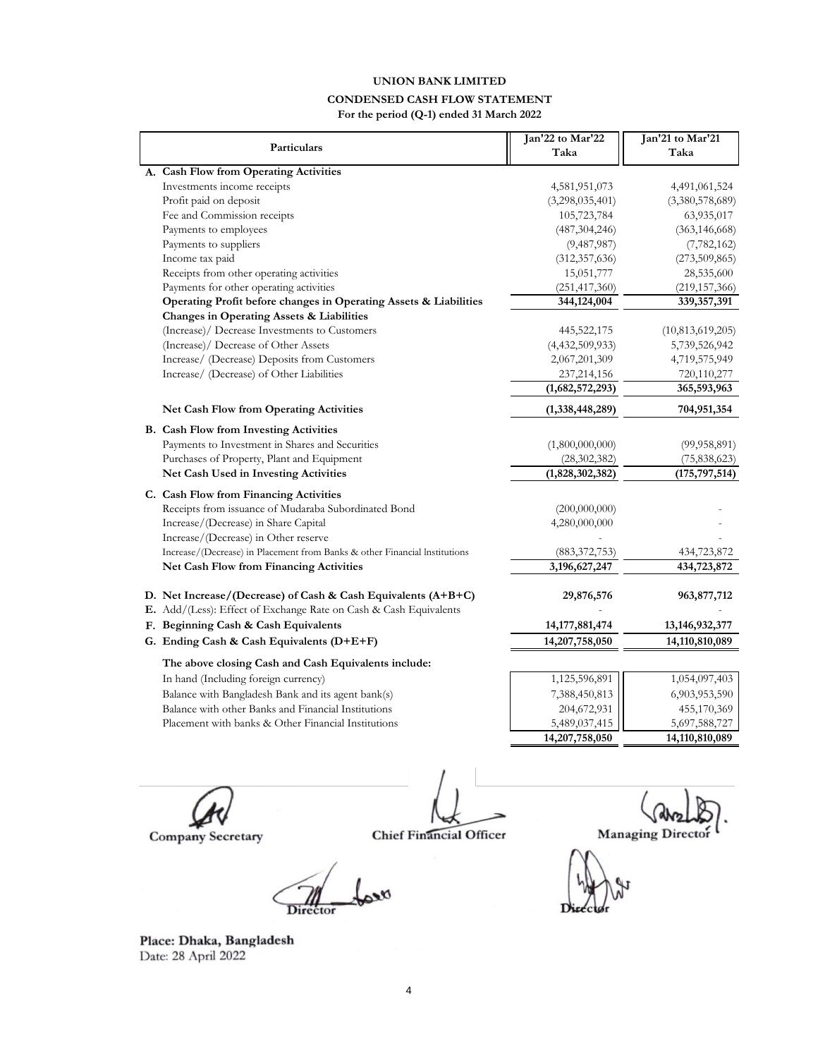# **UNION BANK LIMITED**

# **CONDENSED CASH FLOW STATEMENT**

**For the period (Q-1) ended 31 March 2022**

| Particulars                                                                |                                                                   | Jan'22 to Mar'22 | Jan'21 to Mar'21    |
|----------------------------------------------------------------------------|-------------------------------------------------------------------|------------------|---------------------|
|                                                                            |                                                                   | Taka             | Taka                |
| A. Cash Flow from Operating Activities                                     |                                                                   |                  |                     |
| Investments income receipts                                                |                                                                   | 4,581,951,073    | 4,491,061,524       |
| Profit paid on deposit                                                     |                                                                   | (3,298,035,401)  | (3,380,578,689)     |
| Fee and Commission receipts                                                |                                                                   | 105,723,784      | 63,935,017          |
| Payments to employees                                                      |                                                                   | (487, 304, 246)  | (363, 146, 668)     |
| Payments to suppliers                                                      |                                                                   | (9,487,987)      | (7, 782, 162)       |
| Income tax paid                                                            |                                                                   | (312, 357, 636)  | (273,509,865)       |
| Receipts from other operating activities                                   |                                                                   | 15,051,777       | 28,535,600          |
| Payments for other operating activities                                    |                                                                   | (251, 417, 360)  | (219, 157, 366)     |
|                                                                            | Operating Profit before changes in Operating Assets & Liabilities | 344,124,004      | 339, 357, 391       |
| Changes in Operating Assets & Liabilities                                  |                                                                   |                  |                     |
| (Increase)/ Decrease Investments to Customers                              |                                                                   | 445,522,175      | (10, 813, 619, 205) |
| (Increase)/ Decrease of Other Assets                                       |                                                                   | (4,432,509,933)  | 5,739,526,942       |
| Increase/ (Decrease) Deposits from Customers                               |                                                                   | 2,067,201,309    | 4,719,575,949       |
| Increase/ (Decrease) of Other Liabilities                                  |                                                                   | 237, 214, 156    | 720,110,277         |
|                                                                            |                                                                   | (1,682,572,293)  | 365,593,963         |
| <b>Net Cash Flow from Operating Activities</b>                             |                                                                   | (1,338,448,289)  | 704,951,354         |
| <b>B.</b> Cash Flow from Investing Activities                              |                                                                   |                  |                     |
| Payments to Investment in Shares and Securities                            |                                                                   | (1,800,000,000)  | (99, 958, 891)      |
| Purchases of Property, Plant and Equipment                                 |                                                                   | (28, 302, 382)   | (75, 838, 623)      |
| Net Cash Used in Investing Activities                                      |                                                                   | (1,828,302,382)  | (175, 797, 514)     |
| C. Cash Flow from Financing Activities                                     |                                                                   |                  |                     |
| Receipts from issuance of Mudaraba Subordinated Bond                       |                                                                   | (200,000,000)    |                     |
| Increase/(Decrease) in Share Capital                                       |                                                                   | 4,280,000,000    |                     |
| Increase/(Decrease) in Other reserve                                       |                                                                   |                  |                     |
| Increase/(Decrease) in Placement from Banks & other Financial Institutions |                                                                   | (883, 372, 753)  | 434,723,872         |
| Net Cash Flow from Financing Activities                                    |                                                                   | 3,196,627,247    | 434,723,872         |
|                                                                            |                                                                   |                  |                     |
| D. Net Increase/(Decrease) of Cash & Cash Equivalents (A+B+C)              |                                                                   | 29,876,576       | 963,877,712         |
| E. Add/(Less): Effect of Exchange Rate on Cash & Cash Equivalents          |                                                                   |                  |                     |
| F. Beginning Cash & Cash Equivalents                                       |                                                                   | 14,177,881,474   | 13, 146, 932, 377   |
| G. Ending Cash & Cash Equivalents (D+E+F)                                  |                                                                   | 14,207,758,050   | 14,110,810,089      |
| The above closing Cash and Cash Equivalents include:                       |                                                                   |                  |                     |
| In hand (Including foreign currency)                                       |                                                                   | 1,125,596,891    | 1,054,097,403       |
| Balance with Bangladesh Bank and its agent bank(s)                         |                                                                   | 7,388,450,813    | 6,903,953,590       |
| Balance with other Banks and Financial Institutions                        |                                                                   | 204,672,931      | 455,170,369         |
| Placement with banks & Other Financial Institutions                        |                                                                   | 5,489,037,415    | 5,697,588,727       |
|                                                                            |                                                                   | 14,207,758,050   | 14,110,810,089      |
|                                                                            |                                                                   |                  |                     |

**Company Secretary Chief Financial Officer Managing Director** 

Director<sub>1</sub>

ø  **Director**

Date: 28 April 202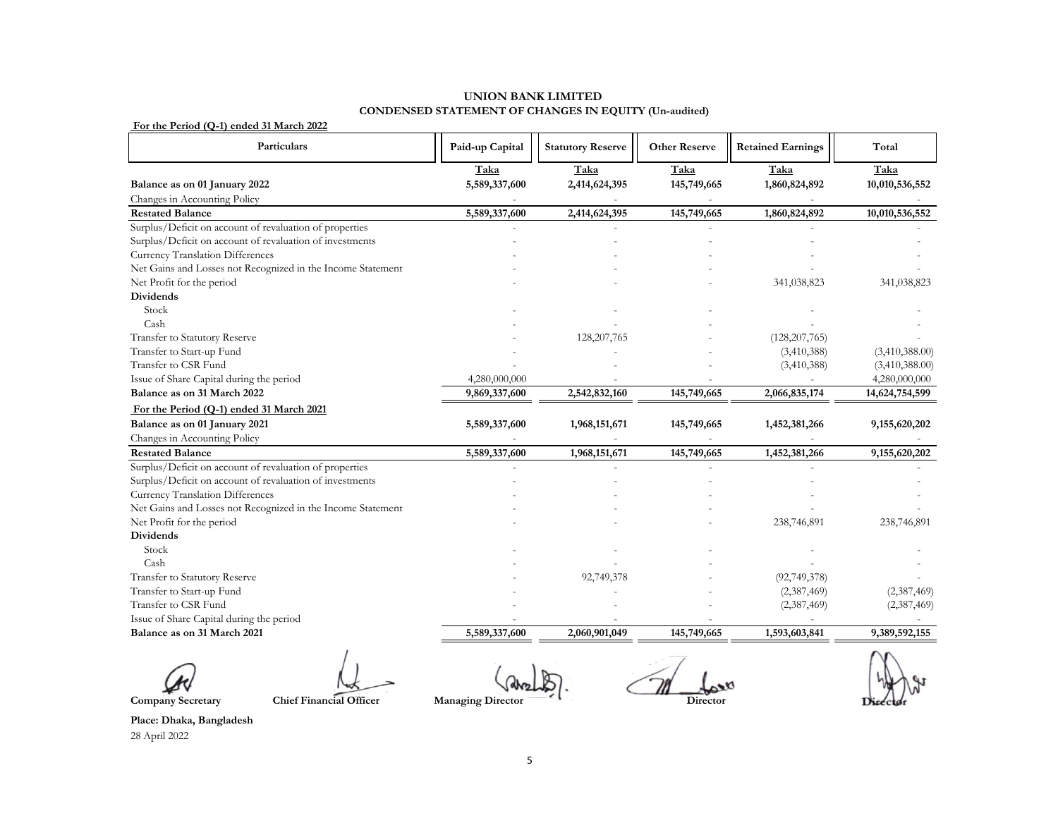## **UNION BANK LIMITED CONDENSED STATEMENT OF CHANGES IN EQUITY (Un-audited)**

#### **For the Period (Q-1) ended 31 March 2022**

| Particulars                                                 | Paid-up Capital          | <b>Statutory Reserve</b> | <b>Other Reserve</b> | <b>Retained Earnings</b> | Total          |
|-------------------------------------------------------------|--------------------------|--------------------------|----------------------|--------------------------|----------------|
|                                                             | Taka                     | Taka                     | Taka                 | Taka                     | Taka           |
| Balance as on 01 January 2022                               | 5,589,337,600            | 2,414,624,395            | 145,749,665          | 1,860,824,892            | 10,010,536,552 |
| Changes in Accounting Policy                                |                          |                          |                      |                          |                |
| <b>Restated Balance</b>                                     | 5,589,337,600            | 2,414,624,395            | 145,749,665          | 1,860,824,892            | 10,010,536,552 |
| Surplus/Deficit on account of revaluation of properties     |                          |                          |                      |                          |                |
| Surplus/Deficit on account of revaluation of investments    |                          |                          |                      |                          |                |
| Currency Translation Differences                            |                          |                          |                      |                          |                |
| Net Gains and Losses not Recognized in the Income Statement |                          |                          |                      |                          |                |
| Net Profit for the period                                   |                          |                          |                      | 341,038,823              | 341,038,823    |
| <b>Dividends</b>                                            |                          |                          |                      |                          |                |
| Stock                                                       |                          |                          |                      |                          |                |
| Cash                                                        |                          |                          |                      |                          |                |
| Transfer to Statutory Reserve                               |                          | 128, 207, 765            |                      | (128, 207, 765)          |                |
| Transfer to Start-up Fund                                   |                          |                          |                      | (3,410,388)              | (3,410,388.00) |
| Transfer to CSR Fund                                        |                          |                          |                      | (3,410,388)              | (3,410,388.00) |
| Issue of Share Capital during the period                    | 4,280,000,000            |                          |                      |                          | 4,280,000,000  |
| Balance as on 31 March 2022                                 | 9,869,337,600            | 2,542,832,160            | 145,749,665          | 2,066,835,174            | 14,624,754,599 |
| For the Period (Q-1) ended 31 March 2021                    |                          |                          |                      |                          |                |
| Balance as on 01 January 2021                               | 5,589,337,600            | 1,968,151,671            | 145,749,665          | 1,452,381,266            | 9,155,620,202  |
| Changes in Accounting Policy                                |                          |                          |                      |                          |                |
| <b>Restated Balance</b>                                     | 5,589,337,600            | 1,968,151,671            | 145,749,665          | 1,452,381,266            | 9,155,620,202  |
| Surplus/Deficit on account of revaluation of properties     |                          |                          |                      |                          |                |
| Surplus/Deficit on account of revaluation of investments    |                          |                          |                      |                          |                |
| Currency Translation Differences                            |                          |                          |                      |                          |                |
| Net Gains and Losses not Recognized in the Income Statement |                          |                          |                      |                          |                |
| Net Profit for the period                                   |                          |                          |                      | 238,746,891              | 238,746,891    |
| <b>Dividends</b>                                            |                          |                          |                      |                          |                |
| Stock                                                       |                          |                          |                      |                          |                |
| Cash                                                        |                          |                          |                      |                          |                |
| Transfer to Statutory Reserve                               |                          | 92,749,378               |                      | (92,749,378)             |                |
| Transfer to Start-up Fund                                   |                          |                          |                      | (2,387,469)              | (2,387,469)    |
| Transfer to CSR Fund                                        |                          |                          |                      | (2,387,469)              | (2,387,469)    |
| Issue of Share Capital during the period                    |                          |                          |                      |                          |                |
| Balance as on 31 March 2021                                 | 5,589,337,600            | 2,060,901,049            | 145,749,665          | 1,593,603,841            | 9,389,592,155  |
| <b>Chief Financial Officer</b><br><b>Company Secretary</b>  | <b>Managing Director</b> |                          | <b>Director</b>      |                          |                |

28 April 2022 **Place: Dhaka, Bangladesh**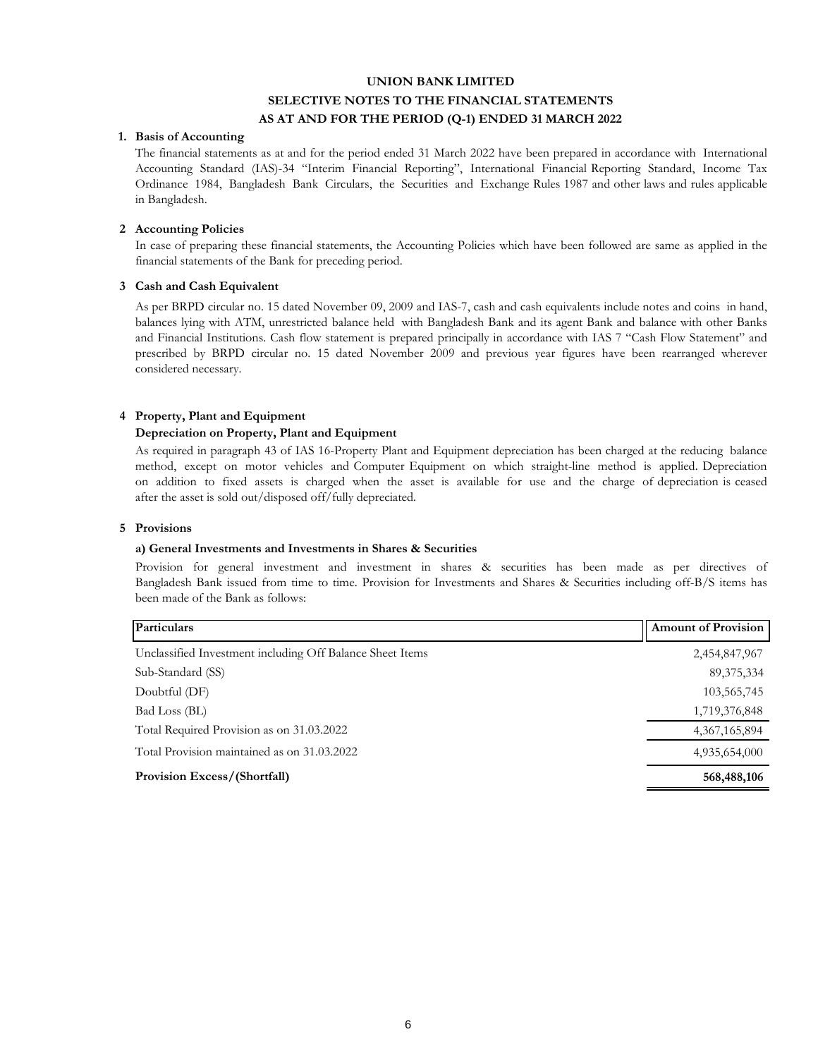#### **UNION BANK LIMITED**

## **SELECTIVE NOTES TO THE FINANCIAL STATEMENTS AS AT AND FOR THE PERIOD (Q-1) ENDED 31 MARCH 2022**

#### **1. Basis of Accounting**

The financial statements as at and for the period ended 31 March 2022 have been prepared in accordance with International Accounting Standard (IAS)-34 "Interim Financial Reporting", International Financial Reporting Standard, Income Tax Ordinance 1984, Bangladesh Bank Circulars, the Securities and Exchange Rules 1987 and other laws and rules applicable in Bangladesh.

#### **2 Accounting Policies**

In case of preparing these financial statements, the Accounting Policies which have been followed are same as applied in the financial statements of the Bank for preceding period.

#### **3 Cash and Cash Equivalent**

As per BRPD circular no. 15 dated November 09, 2009 and IAS-7, cash and cash equivalents include notes and coins in hand, balances lying with ATM, unrestricted balance held with Bangladesh Bank and its agent Bank and balance with other Banks and Financial Institutions. Cash flow statement is prepared principally in accordance with IAS 7 "Cash Flow Statement" and prescribed by BRPD circular no. 15 dated November 2009 and previous year figures have been rearranged wherever considered necessary.

#### **4 Property, Plant and Equipment**

#### **Depreciation on Property, Plant and Equipment**

As required in paragraph 43 of IAS 16-Property Plant and Equipment depreciation has been charged at the reducing balance method, except on motor vehicles and Computer Equipment on which straight-line method is applied. Depreciation on addition to fixed assets is charged when the asset is available for use and the charge of depreciation is ceased after the asset is sold out/disposed off/fully depreciated.

#### **5 Provisions**

#### **a) General Investments and Investments in Shares & Securities**

Provision for general investment and investment in shares & securities has been made as per directives of Bangladesh Bank issued from time to time. Provision for Investments and Shares & Securities including off-B/S items has been made of the Bank as follows:

| Particulars                                               | <b>Amount of Provision</b> |
|-----------------------------------------------------------|----------------------------|
| Unclassified Investment including Off Balance Sheet Items | 2,454,847,967              |
| Sub-Standard (SS)                                         | 89, 375, 334               |
| Doubtful (DF)                                             | 103,565,745                |
| Bad Loss (BL)                                             | 1,719,376,848              |
| Total Required Provision as on 31.03.2022                 | 4, 367, 165, 894           |
| Total Provision maintained as on 31.03.2022               | 4,935,654,000              |
| <b>Provision Excess/(Shortfall)</b>                       | 568,488,106                |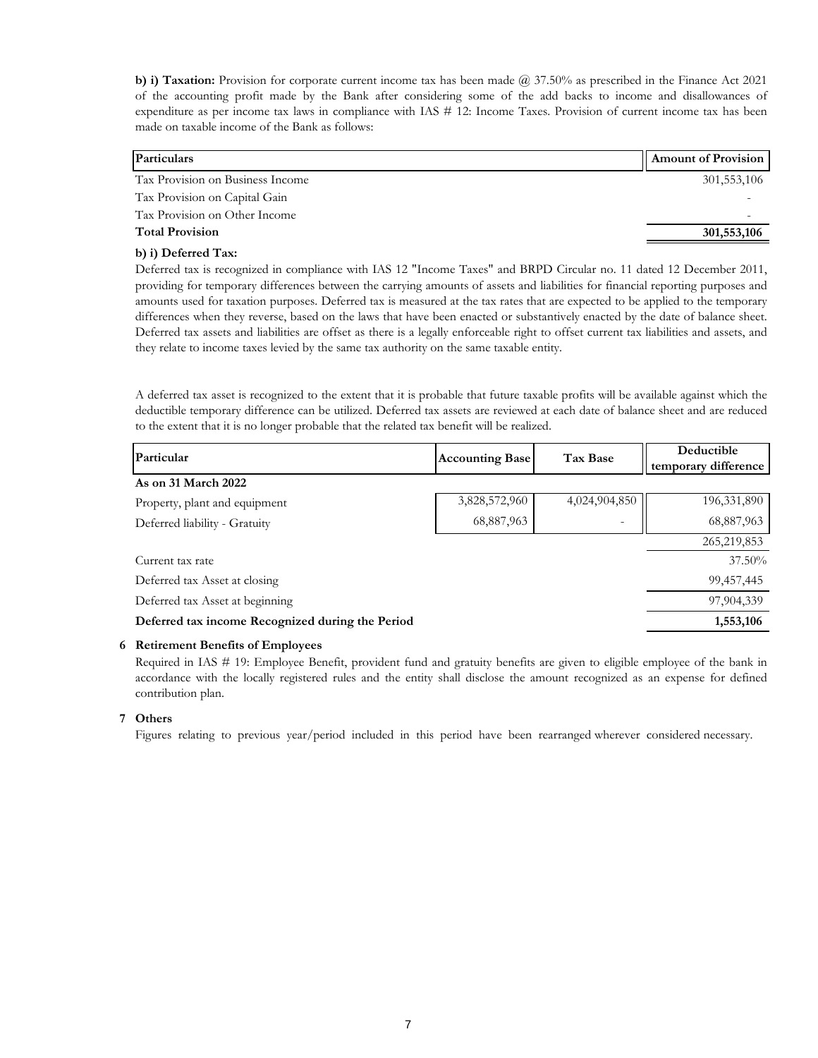**b) i) Taxation:** Provision for corporate current income tax has been made  $\omega$  37.50% as prescribed in the Finance Act 2021 of the accounting profit made by the Bank after considering some of the add backs to income and disallowances of expenditure as per income tax laws in compliance with IAS # 12: Income Taxes. Provision of current income tax has been made on taxable income of the Bank as follows:

| Particulars                      | Amount of Provision |
|----------------------------------|---------------------|
| Tax Provision on Business Income | 301,553,106         |
| Tax Provision on Capital Gain    |                     |
| Tax Provision on Other Income    |                     |
| <b>Total Provision</b>           | 301,553,106         |
|                                  |                     |

#### **b) i) Deferred Tax:**

Deferred tax is recognized in compliance with IAS 12 "Income Taxes" and BRPD Circular no. 11 dated 12 December 2011, providing for temporary differences between the carrying amounts of assets and liabilities for financial reporting purposes and amounts used for taxation purposes. Deferred tax is measured at the tax rates that are expected to be applied to the temporary differences when they reverse, based on the laws that have been enacted or substantively enacted by the date of balance sheet. Deferred tax assets and liabilities are offset as there is a legally enforceable right to offset current tax liabilities and assets, and they relate to income taxes levied by the same tax authority on the same taxable entity.

A deferred tax asset is recognized to the extent that it is probable that future taxable profits will be available against which the deductible temporary difference can be utilized. Deferred tax assets are reviewed at each date of balance sheet and are reduced to the extent that it is no longer probable that the related tax benefit will be realized.

| Particular                                       | <b>Accounting Base</b> | Tax Base      | Deductible<br>temporary difference |
|--------------------------------------------------|------------------------|---------------|------------------------------------|
| As on 31 March 2022                              |                        |               |                                    |
| Property, plant and equipment                    | 3,828,572,960          | 4,024,904,850 | 196,331,890                        |
| Deferred liability - Gratuity                    | 68,887,963             |               | 68,887,963                         |
|                                                  |                        |               | 265, 219, 853                      |
| Current tax rate                                 |                        |               | $37.50\%$                          |
| Deferred tax Asset at closing                    |                        |               | 99,457,445                         |
| Deferred tax Asset at beginning                  |                        |               | 97,904,339                         |
| Deferred tax income Recognized during the Period |                        |               | 1,553,106                          |

#### **6 Retirement Benefits of Employees**

Required in IAS # 19: Employee Benefit, provident fund and gratuity benefits are given to eligible employee of the bank in accordance with the locally registered rules and the entity shall disclose the amount recognized as an expense for defined contribution plan.

#### **7 Others**

Figures relating to previous year/period included in this period have been rearranged wherever considered necessary.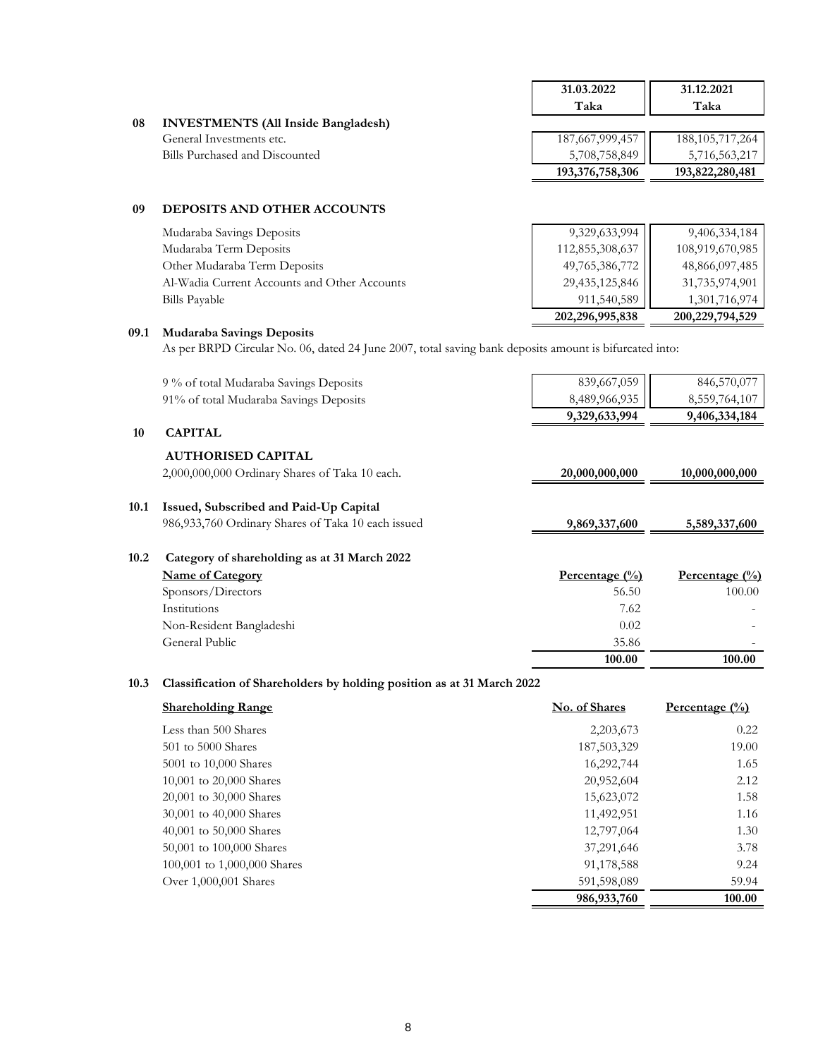|    |                                            | 31.03.2022<br>Taka | 31.12.2021<br>Taka |
|----|--------------------------------------------|--------------------|--------------------|
| 08 | <b>INVESTMENTS</b> (All Inside Bangladesh) |                    |                    |
|    | General Investments etc.                   | 187,667,999,457    | 188, 105, 717, 264 |
|    | Bills Purchased and Discounted             | 5,708,758,849      | 5,716,563,217      |
|    |                                            | 193,376,758,306    | 193,822,280,481    |

### **09 DEPOSITS AND OTHER ACCOUNTS**

|                                              | 202,296,995,838 | 200, 229, 794, 529 |
|----------------------------------------------|-----------------|--------------------|
| <b>Bills Payable</b>                         | 911,540,589     | 1,301,716,974      |
| Al-Wadia Current Accounts and Other Accounts | 29,435,125,846  | 31,735,974,901     |
| Other Mudaraba Term Deposits                 | 49,765,386,772  | 48,866,097,485     |
| Mudaraba Term Deposits                       | 112,855,308,637 | 108,919,670,985    |
| Mudaraba Savings Deposits                    | 9,329,633,994   | 9,406,334,184      |

### **09.1 Mudaraba Savings Deposits**

As per BRPD Circular No. 06, dated 24 June 2007, total saving bank deposits amount is bifurcated into:

| 9 % of total Mudaraba Savings Deposits             | 839,667,059              | 846,570,077        |
|----------------------------------------------------|--------------------------|--------------------|
| 91% of total Mudaraba Savings Deposits             | 8,489,966,935            | 8,559,764,107      |
|                                                    | 9,329,633,994            | 9,406,334,184      |
| <b>CAPITAL</b>                                     |                          |                    |
| <b>AUTHORISED CAPITAL</b>                          |                          |                    |
| 2,000,000,000 Ordinary Shares of Taka 10 each.     | 20,000,000,000           | 10,000,000,000     |
| Issued, Subscribed and Paid-Up Capital             |                          |                    |
| 986,933,760 Ordinary Shares of Taka 10 each issued | 9,869,337,600            | 5,589,337,600      |
| Category of shareholding as at 31 March 2022       |                          |                    |
| <b>Name of Category</b>                            | Percentage $\frac{0}{0}$ | Percentage $(\% )$ |
| Sponsors/Directors                                 | 56.50                    | 100.00             |
| Institutions                                       | 7.62                     |                    |
| Non-Resident Bangladeshi                           | 0.02                     |                    |
| General Public                                     | 35.86                    |                    |
|                                                    | 100.00                   | 100.00             |
|                                                    |                          |                    |

#### **10.3 Classification of Shareholders by holding position as at 31 March 2022**

| <b>Shareholding Range</b>   | No. of Shares | Percentage $(\% )$ |
|-----------------------------|---------------|--------------------|
| Less than 500 Shares        | 2,203,673     | 0.22               |
| 501 to 5000 Shares          | 187,503,329   | 19.00              |
| 5001 to 10,000 Shares       | 16,292,744    | 1.65               |
| 10,001 to 20,000 Shares     | 20,952,604    | 2.12               |
| 20,001 to 30,000 Shares     | 15,623,072    | 1.58               |
| 30,001 to 40,000 Shares     | 11,492,951    | 1.16               |
| 40,001 to 50,000 Shares     | 12,797,064    | 1.30               |
| 50,001 to 100,000 Shares    | 37,291,646    | 3.78               |
| 100,001 to 1,000,000 Shares | 91,178,588    | 9.24               |
| Over 1,000,001 Shares       | 591,598,089   | 59.94              |
|                             | 986,933,760   | 100.00             |